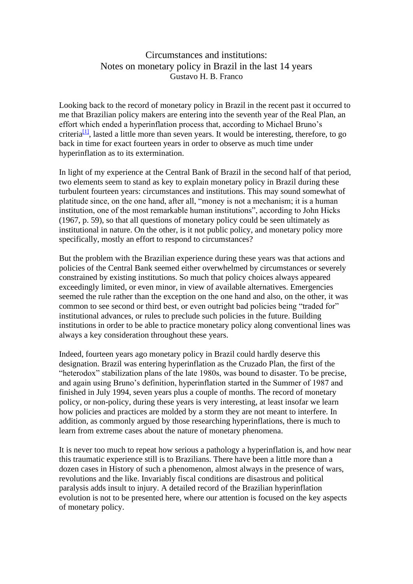## Circumstances and institutions: Notes on monetary policy in Brazil in the last 14 years Gustavo H. B. Franco

Looking back to the record of monetary policy in Brazil in the recent past it occurred to me that Brazilian policy makers are entering into the seventh year of the Real Plan, an effort which ended a hyperinflation process that, according to Michael Bruno's criteria<sup>[\[1\]](file:///C:/Users/gusta/OneDrive/Documentos/New%20stuff/Home%20page%20-%20convertidos/Extraidos%20pelo%20Andre2%20-%20tudo/circumstances%20and%20institutions.htm%23_ftn1)</sup>, lasted a little more than seven years. It would be interesting, therefore, to go back in time for exact fourteen years in order to observe as much time under hyperinflation as to its extermination.

In light of my experience at the Central Bank of Brazil in the second half of that period, two elements seem to stand as key to explain monetary policy in Brazil during these turbulent fourteen years: circumstances and institutions. This may sound somewhat of platitude since, on the one hand, after all, "money is not a mechanism; it is a human institution, one of the most remarkable human institutions", according to John Hicks (1967, p. 59), so that all questions of monetary policy could be seen ultimately as institutional in nature. On the other, is it not public policy, and monetary policy more specifically, mostly an effort to respond to circumstances?

But the problem with the Brazilian experience during these years was that actions and policies of the Central Bank seemed either overwhelmed by circumstances or severely constrained by existing institutions. So much that policy choices always appeared exceedingly limited, or even minor, in view of available alternatives. Emergencies seemed the rule rather than the exception on the one hand and also, on the other, it was common to see second or third best, or even outright bad policies being "traded for" institutional advances, or rules to preclude such policies in the future. Building institutions in order to be able to practice monetary policy along conventional lines was always a key consideration throughout these years.

Indeed, fourteen years ago monetary policy in Brazil could hardly deserve this designation. Brazil was entering hyperinflation as the Cruzado Plan, the first of the "heterodox" stabilization plans of the late 1980s, was bound to disaster. To be precise, and again using Bruno's definition, hyperinflation started in the Summer of 1987 and finished in July 1994, seven years plus a couple of months. The record of monetary policy, or non-policy, during these years is very interesting, at least insofar we learn how policies and practices are molded by a storm they are not meant to interfere. In addition, as commonly argued by those researching hyperinflations, there is much to learn from extreme cases about the nature of monetary phenomena.

It is never too much to repeat how serious a pathology a hyperinflation is, and how near this traumatic experience still is to Brazilians. There have been a little more than a dozen cases in History of such a phenomenon, almost always in the presence of wars, revolutions and the like. Invariably fiscal conditions are disastrous and political paralysis adds insult to injury. A detailed record of the Brazilian hyperinflation evolution is not to be presented here, where our attention is focused on the key aspects of monetary policy.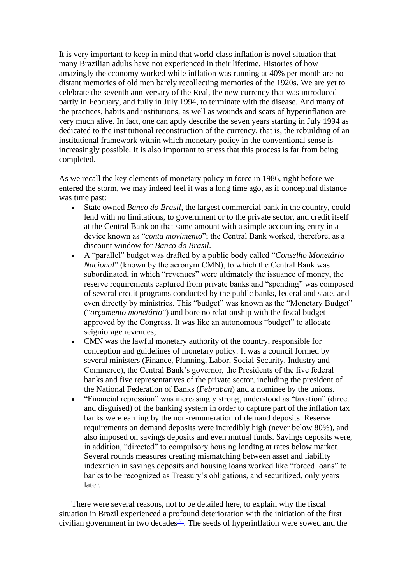It is very important to keep in mind that world-class inflation is novel situation that many Brazilian adults have not experienced in their lifetime. Histories of how amazingly the economy worked while inflation was running at 40% per month are no distant memories of old men barely recollecting memories of the 1920s. We are yet to celebrate the seventh anniversary of the Real, the new currency that was introduced partly in February, and fully in July 1994, to terminate with the disease. And many of the practices, habits and institutions, as well as wounds and scars of hyperinflation are very much alive. In fact, one can aptly describe the seven years starting in July 1994 as dedicated to the institutional reconstruction of the currency, that is, the rebuilding of an institutional framework within which monetary policy in the conventional sense is increasingly possible. It is also important to stress that this process is far from being completed.

As we recall the key elements of monetary policy in force in 1986, right before we entered the storm, we may indeed feel it was a long time ago, as if conceptual distance was time past:

- State owned *Banco do Brasil*, the largest commercial bank in the country, could lend with no limitations, to government or to the private sector, and credit itself at the Central Bank on that same amount with a simple accounting entry in a device known as "*conta movimento*"; the Central Bank worked, therefore, as a discount window for *Banco do Brasil*.
- A "parallel" budget was drafted by a public body called "*Conselho Monetário Nacional*" (known by the acronym CMN), to which the Central Bank was subordinated, in which "revenues" were ultimately the issuance of money, the reserve requirements captured from private banks and "spending" was composed of several credit programs conducted by the public banks, federal and state, and even directly by ministries. This "budget" was known as the "Monetary Budget" ("*orçamento monetário*") and bore no relationship with the fiscal budget approved by the Congress. It was like an autonomous "budget" to allocate seigniorage revenues;
- CMN was the lawful monetary authority of the country, responsible for conception and guidelines of monetary policy. It was a council formed by several ministers (Finance, Planning, Labor, Social Security, Industry and Commerce), the Central Bank's governor, the Presidents of the five federal banks and five representatives of the private sector, including the president of the National Federation of Banks (*Febraban*) and a nominee by the unions.
- "Financial repression" was increasingly strong, understood as "taxation" (direct and disguised) of the banking system in order to capture part of the inflation tax banks were earning by the non-remuneration of demand deposits. Reserve requirements on demand deposits were incredibly high (never below 80%), and also imposed on savings deposits and even mutual funds. Savings deposits were, in addition, "directed" to compulsory housing lending at rates below market. Several rounds measures creating mismatching between asset and liability indexation in savings deposits and housing loans worked like "forced loans" to banks to be recognized as Treasury's obligations, and securitized, only years later.

 There were several reasons, not to be detailed here, to explain why the fiscal situation in Brazil experienced a profound deterioration with the initiation of the first civilian government in two decades<sup>[\[2\]](file:///C:/Users/gusta/OneDrive/Documentos/New%20stuff/Home%20page%20-%20convertidos/Extraidos%20pelo%20Andre2%20-%20tudo/circumstances%20and%20institutions.htm%23_ftn2)</sup>. The seeds of hyperinflation were sowed and the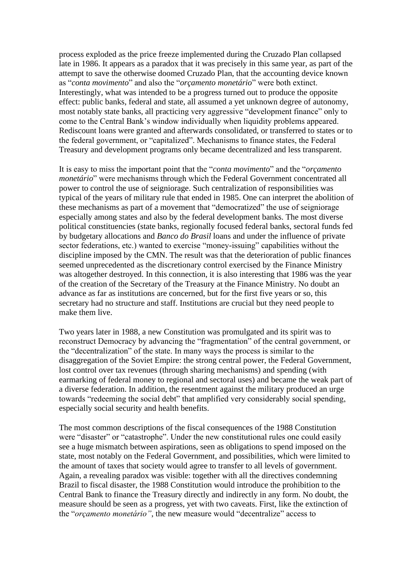process exploded as the price freeze implemented during the Cruzado Plan collapsed late in 1986. It appears as a paradox that it was precisely in this same year, as part of the attempt to save the otherwise doomed Cruzado Plan, that the accounting device known as "*conta movimento*" and also the "*orçamento monetário*" were both extinct. Interestingly, what was intended to be a progress turned out to produce the opposite effect: public banks, federal and state, all assumed a yet unknown degree of autonomy, most notably state banks, all practicing very aggressive "development finance" only to come to the Central Bank's window individually when liquidity problems appeared. Rediscount loans were granted and afterwards consolidated, or transferred to states or to the federal government, or "capitalized". Mechanisms to finance states, the Federal Treasury and development programs only became decentralized and less transparent.

It is easy to miss the important point that the "*conta movimento*" and the "*orçamento monetário*" were mechanisms through which the Federal Government concentrated all power to control the use of seigniorage. Such centralization of responsibilities was typical of the years of military rule that ended in 1985. One can interpret the abolition of these mechanisms as part of a movement that "democratized" the use of seigniorage especially among states and also by the federal development banks. The most diverse political constituencies (state banks, regionally focused federal banks, sectoral funds fed by budgetary allocations and *Banco do Brasil* loans and under the influence of private sector federations, etc.) wanted to exercise "money-issuing" capabilities without the discipline imposed by the CMN. The result was that the deterioration of public finances seemed unprecedented as the discretionary control exercised by the Finance Ministry was altogether destroyed. In this connection, it is also interesting that 1986 was the year of the creation of the Secretary of the Treasury at the Finance Ministry. No doubt an advance as far as institutions are concerned, but for the first five years or so, this secretary had no structure and staff. Institutions are crucial but they need people to make them live.

Two years later in 1988, a new Constitution was promulgated and its spirit was to reconstruct Democracy by advancing the "fragmentation" of the central government, or the "decentralization" of the state. In many ways the process is similar to the disaggregation of the Soviet Empire: the strong central power, the Federal Government, lost control over tax revenues (through sharing mechanisms) and spending (with earmarking of federal money to regional and sectoral uses) and became the weak part of a diverse federation. In addition, the resentment against the military produced an urge towards "redeeming the social debt" that amplified very considerably social spending, especially social security and health benefits.

The most common descriptions of the fiscal consequences of the 1988 Constitution were "disaster" or "catastrophe". Under the new constitutional rules one could easily see a huge mismatch between aspirations, seen as obligations to spend imposed on the state, most notably on the Federal Government, and possibilities, which were limited to the amount of taxes that society would agree to transfer to all levels of government. Again, a revealing paradox was visible: together with all the directives condemning Brazil to fiscal disaster, the 1988 Constitution would introduce the prohibition to the Central Bank to finance the Treasury directly and indirectly in any form. No doubt, the measure should be seen as a progress, yet with two caveats. First, like the extinction of the "*orçamento monetário"*, the new measure would "decentralize" access to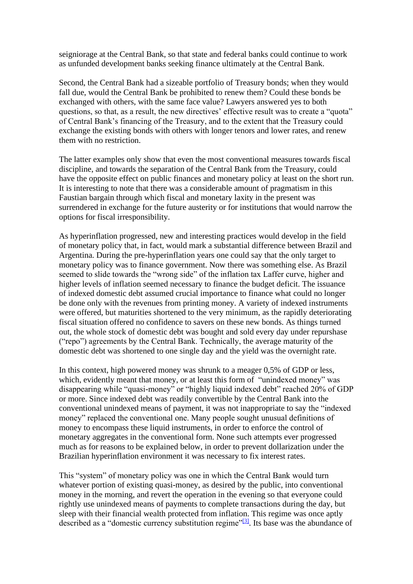seigniorage at the Central Bank, so that state and federal banks could continue to work as unfunded development banks seeking finance ultimately at the Central Bank.

Second, the Central Bank had a sizeable portfolio of Treasury bonds; when they would fall due, would the Central Bank be prohibited to renew them? Could these bonds be exchanged with others, with the same face value? Lawyers answered yes to both questions, so that, as a result, the new directives' effective result was to create a "quota" of Central Bank's financing of the Treasury, and to the extent that the Treasury could exchange the existing bonds with others with longer tenors and lower rates, and renew them with no restriction.

The latter examples only show that even the most conventional measures towards fiscal discipline, and towards the separation of the Central Bank from the Treasury, could have the opposite effect on public finances and monetary policy at least on the short run. It is interesting to note that there was a considerable amount of pragmatism in this Faustian bargain through which fiscal and monetary laxity in the present was surrendered in exchange for the future austerity or for institutions that would narrow the options for fiscal irresponsibility.

As hyperinflation progressed, new and interesting practices would develop in the field of monetary policy that, in fact, would mark a substantial difference between Brazil and Argentina. During the pre-hyperinflation years one could say that the only target to monetary policy was to finance government. Now there was something else. As Brazil seemed to slide towards the "wrong side" of the inflation tax Laffer curve, higher and higher levels of inflation seemed necessary to finance the budget deficit. The issuance of indexed domestic debt assumed crucial importance to finance what could no longer be done only with the revenues from printing money. A variety of indexed instruments were offered, but maturities shortened to the very minimum, as the rapidly deteriorating fiscal situation offered no confidence to savers on these new bonds. As things turned out, the whole stock of domestic debt was bought and sold every day under repurshase ("repo") agreements by the Central Bank. Technically, the average maturity of the domestic debt was shortened to one single day and the yield was the overnight rate.

In this context, high powered money was shrunk to a meager 0,5% of GDP or less, which, evidently meant that money, or at least this form of "unindexed money" was disappearing while "quasi-money" or "highly liquid indexed debt" reached 20% of GDP or more. Since indexed debt was readily convertible by the Central Bank into the conventional unindexed means of payment, it was not inappropriate to say the "indexed money" replaced the conventional one. Many people sought unusual definitions of money to encompass these liquid instruments, in order to enforce the control of monetary aggregates in the conventional form. None such attempts ever progressed much as for reasons to be explained below, in order to prevent dollarization under the Brazilian hyperinflation environment it was necessary to fix interest rates.

This "system" of monetary policy was one in which the Central Bank would turn whatever portion of existing quasi-money, as desired by the public, into conventional money in the morning, and revert the operation in the evening so that everyone could rightly use unindexed means of payments to complete transactions during the day, but sleep with their financial wealth protected from inflation. This regime was once aptly described as a "domestic currency substitution regime"<sup>[\[3\]](file:///C:/Users/gusta/OneDrive/Documentos/New%20stuff/Home%20page%20-%20convertidos/Extraidos%20pelo%20Andre2%20-%20tudo/circumstances%20and%20institutions.htm%23_ftn3)</sup>. Its base was the abundance of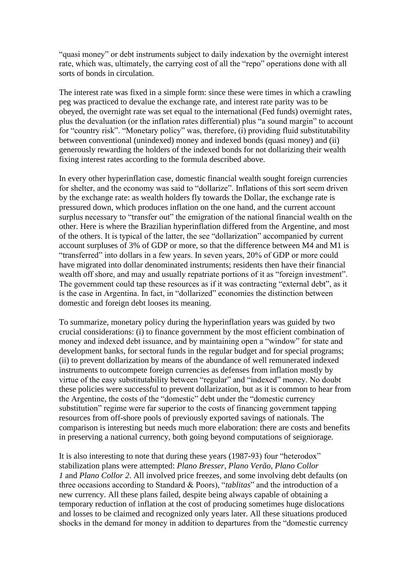"quasi money" or debt instruments subject to daily indexation by the overnight interest rate, which was, ultimately, the carrying cost of all the "repo" operations done with all sorts of bonds in circulation.

The interest rate was fixed in a simple form: since these were times in which a crawling peg was practiced to devalue the exchange rate, and interest rate parity was to be obeyed, the overnight rate was set equal to the international (Fed funds) overnight rates, plus the devaluation (or the inflation rates differential) plus "a sound margin" to account for "country risk". "Monetary policy" was, therefore, (i) providing fluid substitutability between conventional (unindexed) money and indexed bonds (quasi money) and (ii) generously rewarding the holders of the indexed bonds for not dollarizing their wealth fixing interest rates according to the formula described above.

In every other hyperinflation case, domestic financial wealth sought foreign currencies for shelter, and the economy was said to "dollarize". Inflations of this sort seem driven by the exchange rate: as wealth holders fly towards the Dollar, the exchange rate is pressured down, which produces inflation on the one hand, and the current account surplus necessary to "transfer out" the emigration of the national financial wealth on the other. Here is where the Brazilian hyperinflation differed from the Argentine, and most of the others. It is typical of the latter, the see "dollarization" accompanied by current account surpluses of 3% of GDP or more, so that the difference between M4 and M1 is "transferred" into dollars in a few years. In seven years, 20% of GDP or more could have migrated into dollar denominated instruments; residents then have their financial wealth off shore, and may and usually repatriate portions of it as "foreign investment". The government could tap these resources as if it was contracting "external debt", as it is the case in Argentina. In fact, in "dollarized" economies the distinction between domestic and foreign debt looses its meaning.

To summarize, monetary policy during the hyperinflation years was guided by two crucial considerations: (i) to finance government by the most efficient combination of money and indexed debt issuance, and by maintaining open a "window" for state and development banks, for sectoral funds in the regular budget and for special programs; (ii) to prevent dollarization by means of the abundance of well remunerated indexed instruments to outcompete foreign currencies as defenses from inflation mostly by virtue of the easy substitutability between "regular" and "indexed" money. No doubt these policies were successful to prevent dollarization, but as it is common to hear from the Argentine, the costs of the "domestic" debt under the "domestic currency substitution" regime were far superior to the costs of financing government tapping resources from off-shore pools of previously exported savings of nationals. The comparison is interesting but needs much more elaboration: there are costs and benefits in preserving a national currency, both going beyond computations of seigniorage.

It is also interesting to note that during these years (1987-93) four "heterodox" stabilization plans were attempted: *Plano Bresser, Plano Verão, Plano Collor 1* and *Plano Collor 2*. All involved price freezes, and some involving debt defaults (on three occasions according to Standard & Poors), "*tablitas*" and the introduction of a new currency. All these plans failed, despite being always capable of obtaining a temporary reduction of inflation at the cost of producing sometimes huge dislocations and losses to be claimed and recognized only years later. All these situations produced shocks in the demand for money in addition to departures from the "domestic currency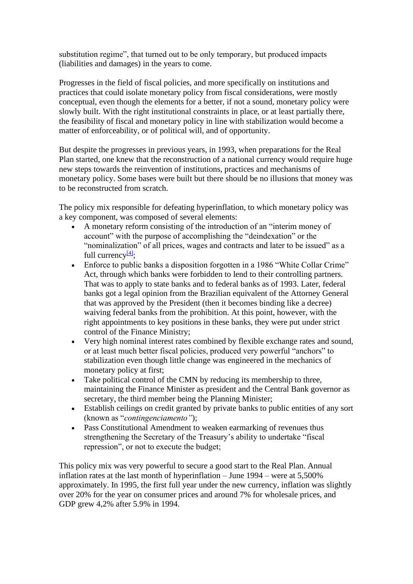substitution regime", that turned out to be only temporary, but produced impacts (liabilities and damages) in the years to come.

Progresses in the field of fiscal policies, and more specifically on institutions and practices that could isolate monetary policy from fiscal considerations, were mostly conceptual, even though the elements for a better, if not a sound, monetary policy were slowly built. With the right institutional constraints in place, or at least partially there, the feasibility of fiscal and monetary policy in line with stabilization would become a matter of enforceability, or of political will, and of opportunity.

But despite the progresses in previous years, in 1993, when preparations for the Real Plan started, one knew that the reconstruction of a national currency would require huge new steps towards the reinvention of institutions, practices and mechanisms of monetary policy. Some bases were built but there should be no illusions that money was to be reconstructed from scratch.

The policy mix responsible for defeating hyperinflation, to which monetary policy was a key component, was composed of several elements:

- A monetary reform consisting of the introduction of an "interim money of account" with the purpose of accomplishing the "deindexation" or the "nominalization" of all prices, wages and contracts and later to be issued" as a full currency $[4]$ :
- Enforce to public banks a disposition forgotten in a 1986 "White Collar Crime" Act, through which banks were forbidden to lend to their controlling partners. That was to apply to state banks and to federal banks as of 1993. Later, federal banks got a legal opinion from the Brazilian equivalent of the Attorney General that was approved by the President (then it becomes binding like a decree) waiving federal banks from the prohibition. At this point, however, with the right appointments to key positions in these banks, they were put under strict control of the Finance Ministry;
- Very high nominal interest rates combined by flexible exchange rates and sound, or at least much better fiscal policies, produced very powerful "anchors" to stabilization even though little change was engineered in the mechanics of monetary policy at first;
- Take political control of the CMN by reducing its membership to three, maintaining the Finance Minister as president and the Central Bank governor as secretary, the third member being the Planning Minister;
- Establish ceilings on credit granted by private banks to public entities of any sort (known as "*contingenciamento"*);
- Pass Constitutional Amendment to weaken earmarking of revenues thus strengthening the Secretary of the Treasury's ability to undertake "fiscal repression", or not to execute the budget;

This policy mix was very powerful to secure a good start to the Real Plan. Annual inflation rates at the last month of hyperinflation – June 1994 – were at 5,500% approximately. In 1995, the first full year under the new currency, inflation was slightly over 20% for the year on consumer prices and around 7% for wholesale prices, and GDP grew 4,2% after 5.9% in 1994.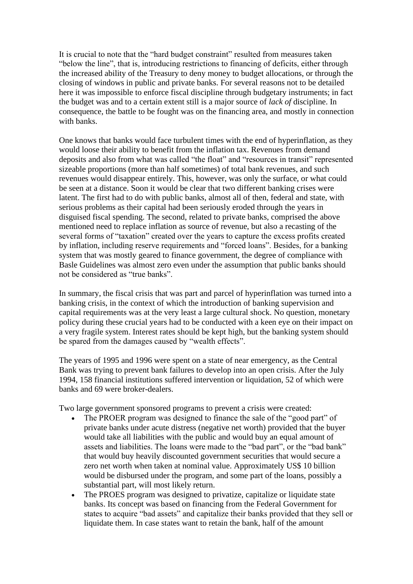It is crucial to note that the "hard budget constraint" resulted from measures taken "below the line", that is, introducing restrictions to financing of deficits, either through the increased ability of the Treasury to deny money to budget allocations, or through the closing of windows in public and private banks. For several reasons not to be detailed here it was impossible to enforce fiscal discipline through budgetary instruments; in fact the budget was and to a certain extent still is a major source of *lack of* discipline. In consequence, the battle to be fought was on the financing area, and mostly in connection with banks.

One knows that banks would face turbulent times with the end of hyperinflation, as they would loose their ability to benefit from the inflation tax. Revenues from demand deposits and also from what was called "the float" and "resources in transit" represented sizeable proportions (more than half sometimes) of total bank revenues, and such revenues would disappear entirely. This, however, was only the surface, or what could be seen at a distance. Soon it would be clear that two different banking crises were latent. The first had to do with public banks, almost all of then, federal and state, with serious problems as their capital had been seriously eroded through the years in disguised fiscal spending. The second, related to private banks, comprised the above mentioned need to replace inflation as source of revenue, but also a recasting of the several forms of "taxation" created over the years to capture the excess profits created by inflation, including reserve requirements and "forced loans". Besides, for a banking system that was mostly geared to finance government, the degree of compliance with Basle Guidelines was almost zero even under the assumption that public banks should not be considered as "true banks".

In summary, the fiscal crisis that was part and parcel of hyperinflation was turned into a banking crisis, in the context of which the introduction of banking supervision and capital requirements was at the very least a large cultural shock. No question, monetary policy during these crucial years had to be conducted with a keen eye on their impact on a very fragile system. Interest rates should be kept high, but the banking system should be spared from the damages caused by "wealth effects".

The years of 1995 and 1996 were spent on a state of near emergency, as the Central Bank was trying to prevent bank failures to develop into an open crisis. After the July 1994, 158 financial institutions suffered intervention or liquidation, 52 of which were banks and 69 were broker-dealers.

Two large government sponsored programs to prevent a crisis were created:

- The PROER program was designed to finance the sale of the "good part" of private banks under acute distress (negative net worth) provided that the buyer would take all liabilities with the public and would buy an equal amount of assets and liabilities. The loans were made to the "bad part", or the "bad bank" that would buy heavily discounted government securities that would secure a zero net worth when taken at nominal value. Approximately US\$ 10 billion would be disbursed under the program, and some part of the loans, possibly a substantial part, will most likely return.
- The PROES program was designed to privatize, capitalize or liquidate state banks. Its concept was based on financing from the Federal Government for states to acquire "bad assets" and capitalize their banks provided that they sell or liquidate them. In case states want to retain the bank, half of the amount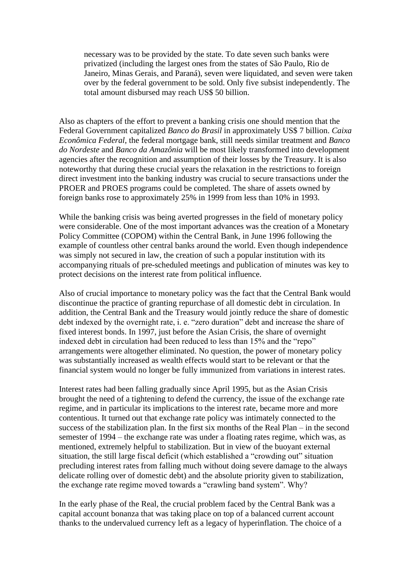necessary was to be provided by the state. To date seven such banks were privatized (including the largest ones from the states of São Paulo, Rio de Janeiro, Minas Gerais, and Paraná), seven were liquidated, and seven were taken over by the federal government to be sold. Only five subsist independently. The total amount disbursed may reach US\$ 50 billion.

Also as chapters of the effort to prevent a banking crisis one should mention that the Federal Government capitalized *Banco do Brasil* in approximately US\$ 7 billion. *Caixa Econômica Federal*, the federal mortgage bank, still needs similar treatment and *Banco do Nordeste* and *Banco da Amazônia* will be most likely transformed into development agencies after the recognition and assumption of their losses by the Treasury. It is also noteworthy that during these crucial years the relaxation in the restrictions to foreign direct investment into the banking industry was crucial to secure transactions under the PROER and PROES programs could be completed. The share of assets owned by foreign banks rose to approximately 25% in 1999 from less than 10% in 1993.

While the banking crisis was being averted progresses in the field of monetary policy were considerable. One of the most important advances was the creation of a Monetary Policy Committee (COPOM) within the Central Bank, in June 1996 following the example of countless other central banks around the world. Even though independence was simply not secured in law, the creation of such a popular institution with its accompanying rituals of pre-scheduled meetings and publication of minutes was key to protect decisions on the interest rate from political influence.

Also of crucial importance to monetary policy was the fact that the Central Bank would discontinue the practice of granting repurchase of all domestic debt in circulation. In addition, the Central Bank and the Treasury would jointly reduce the share of domestic debt indexed by the overnight rate, i. e. "zero duration" debt and increase the share of fixed interest bonds. In 1997, just before the Asian Crisis, the share of overnight indexed debt in circulation had been reduced to less than 15% and the "repo" arrangements were altogether eliminated. No question, the power of monetary policy was substantially increased as wealth effects would start to be relevant or that the financial system would no longer be fully immunized from variations in interest rates.

Interest rates had been falling gradually since April 1995, but as the Asian Crisis brought the need of a tightening to defend the currency, the issue of the exchange rate regime, and in particular its implications to the interest rate, became more and more contentious. It turned out that exchange rate policy was intimately connected to the success of the stabilization plan. In the first six months of the Real Plan – in the second semester of 1994 – the exchange rate was under a floating rates regime, which was, as mentioned, extremely helpful to stabilization. But in view of the buoyant external situation, the still large fiscal deficit (which established a "crowding out" situation precluding interest rates from falling much without doing severe damage to the always delicate rolling over of domestic debt) and the absolute priority given to stabilization, the exchange rate regime moved towards a "crawling band system". Why?

In the early phase of the Real, the crucial problem faced by the Central Bank was a capital account bonanza that was taking place on top of a balanced current account thanks to the undervalued currency left as a legacy of hyperinflation. The choice of a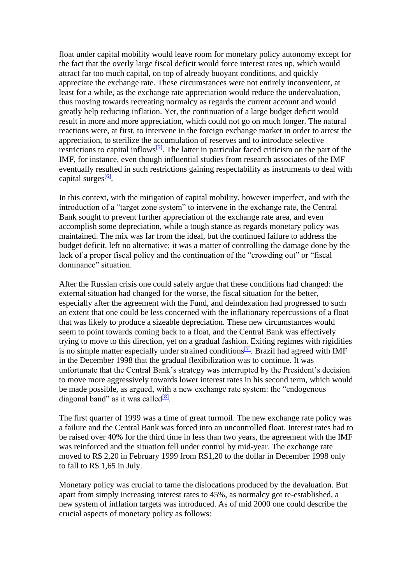float under capital mobility would leave room for monetary policy autonomy except for the fact that the overly large fiscal deficit would force interest rates up, which would attract far too much capital, on top of already buoyant conditions, and quickly appreciate the exchange rate. These circumstances were not entirely inconvenient, at least for a while, as the exchange rate appreciation would reduce the undervaluation, thus moving towards recreating normalcy as regards the current account and would greatly help reducing inflation. Yet, the continuation of a large budget deficit would result in more and more appreciation, which could not go on much longer. The natural reactions were, at first, to intervene in the foreign exchange market in order to arrest the appreciation, to sterilize the accumulation of reserves and to introduce selective restrictions to capital inflows<sup>[\[5\]](file:///C:/Users/gusta/OneDrive/Documentos/New%20stuff/Home%20page%20-%20convertidos/Extraidos%20pelo%20Andre2%20-%20tudo/circumstances%20and%20institutions.htm%23_ftn5)</sup>. The latter in particular faced criticism on the part of the IMF, for instance, even though influential studies from research associates of the IMF eventually resulted in such restrictions gaining respectability as instruments to deal with capital surges<sup>[\[6\]](file:///C:/Users/gusta/OneDrive/Documentos/New%20stuff/Home%20page%20-%20convertidos/Extraidos%20pelo%20Andre2%20-%20tudo/circumstances%20and%20institutions.htm%23_ftn6)</sup>.

In this context, with the mitigation of capital mobility, however imperfect, and with the introduction of a "target zone system" to intervene in the exchange rate, the Central Bank sought to prevent further appreciation of the exchange rate area, and even accomplish some depreciation, while a tough stance as regards monetary policy was maintained. The mix was far from the ideal, but the continued failure to address the budget deficit, left no alternative; it was a matter of controlling the damage done by the lack of a proper fiscal policy and the continuation of the "crowding out" or "fiscal dominance" situation.

After the Russian crisis one could safely argue that these conditions had changed: the external situation had changed for the worse, the fiscal situation for the better, especially after the agreement with the Fund, and deindexation had progressed to such an extent that one could be less concerned with the inflationary repercussions of a float that was likely to produce a sizeable depreciation. These new circumstances would seem to point towards coming back to a float, and the Central Bank was effectively trying to move to this direction, yet on a gradual fashion. Exiting regimes with rigidities is no simple matter especially under strained conditions<sup>[\[7\]](file:///C:/Users/gusta/OneDrive/Documentos/New%20stuff/Home%20page%20-%20convertidos/Extraidos%20pelo%20Andre2%20-%20tudo/circumstances%20and%20institutions.htm%23_ftn7)</sup>. Brazil had agreed with IMF in the December 1998 that the gradual flexibilization was to continue. It was unfortunate that the Central Bank's strategy was interrupted by the President's decision to move more aggressively towards lower interest rates in his second term, which would be made possible, as argued, with a new exchange rate system: the "endogenous diagonal band" as it was called<sup>[\[8\]](file:///C:/Users/gusta/OneDrive/Documentos/New%20stuff/Home%20page%20-%20convertidos/Extraidos%20pelo%20Andre2%20-%20tudo/circumstances%20and%20institutions.htm%23_ftn8)</sup>.

The first quarter of 1999 was a time of great turmoil. The new exchange rate policy was a failure and the Central Bank was forced into an uncontrolled float. Interest rates had to be raised over 40% for the third time in less than two years, the agreement with the IMF was reinforced and the situation fell under control by mid-year. The exchange rate moved to R\$ 2,20 in February 1999 from R\$1,20 to the dollar in December 1998 only to fall to R\$ 1,65 in July.

Monetary policy was crucial to tame the dislocations produced by the devaluation. But apart from simply increasing interest rates to 45%, as normalcy got re-established, a new system of inflation targets was introduced. As of mid 2000 one could describe the crucial aspects of monetary policy as follows: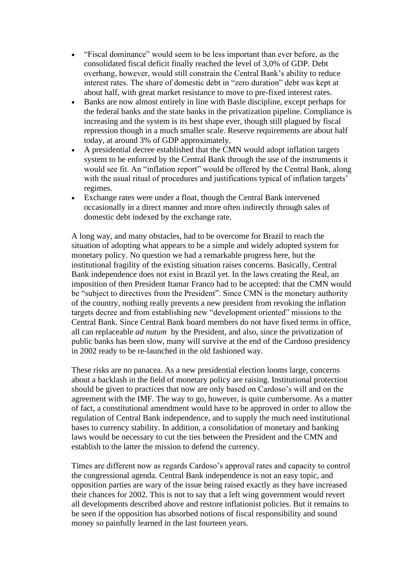- "Fiscal dominance" would seem to be less important than ever before, as the consolidated fiscal deficit finally reached the level of 3,0% of GDP. Debt overhang, however, would still constrain the Central Bank's ability to reduce interest rates. The share of domestic debt in "zero duration" debt was kept at about half, with great market resistance to move to pre-fixed interest rates.
- Banks are now almost entirely in line with Basle discipline, except perhaps for the federal banks and the state banks in the privatization pipeline. Compliance is increasing and the system is its best shape ever, though still plagued by fiscal repression though in a much smaller scale. Reserve requirements are about half today, at around 3% of GDP approximately.
- A presidential decree established that the CMN would adopt inflation targets system to be enforced by the Central Bank through the use of the instruments it would see fit. An "inflation report" would be offered by the Central Bank, along with the usual ritual of procedures and justifications typical of inflation targets' regimes.
- Exchange rates were under a float, though the Central Bank intervened occasionally in a direct manner and more often indirectly through sales of domestic debt indexed by the exchange rate.

A long way, and many obstacles, had to be overcome for Brazil to reach the situation of adopting what appears to be a simple and widely adopted system for monetary policy. No question we had a remarkable progress here, but the institutional fragility of the existing situation raises concerns. Basically, Central Bank independence does not exist in Brazil yet. In the laws creating the Real, an imposition of then President Itamar Franco had to be accepted: that the CMN would be "subject to directives from the President". Since CMN is the monetary authority of the country, nothing really prevents a new president from revoking the inflation targets decree and from establishing new "development oriented" missions to the Central Bank. Since Central Bank board members do not have fixed terms in office, all can replaceable *ad nutum* by the President, and also, since the privatization of public banks has been slow, many will survive at the end of the Cardoso presidency in 2002 ready to be re-launched in the old fashioned way.

These risks are no panacea. As a new presidential election looms large, concerns about a backlash in the field of monetary policy are raising. Institutional protection should be given to practices that now are only based on Cardoso's will and on the agreement with the IMF. The way to go, however, is quite cumbersome. As a matter of fact, a constitutional amendment would have to be approved in order to allow the regulation of Central Bank independence, and to supply the much need institutional bases to currency stability. In addition, a consolidation of monetary and banking laws would be necessary to cut the ties between the President and the CMN and establish to the latter the mission to defend the currency.

Times are different now as regards Cardoso's approval rates and capacity to control the congressional agenda. Central Bank independence is not an easy topic, and opposition parties are wary of the issue being raised exactly as they have increased their chances for 2002. This is not to say that a left wing government would revert all developments described above and restore inflationist policies. But it remains to be seen if the opposition has absorbed notions of fiscal responsibility and sound money so painfully learned in the last fourteen years.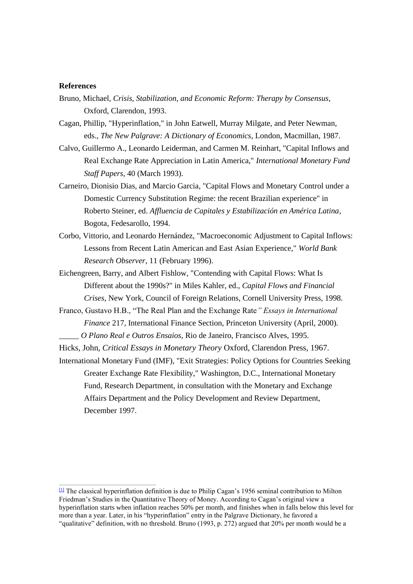## **References**

- Bruno, Michael, *Crisis, Stabilization, and Economic Reform: Therapy by Consensus*, Oxford, Clarendon, 1993.
- Cagan, Phillip, "Hyperinflation," in John Eatwell, Murray Milgate, and Peter Newman, eds., *The New Palgrave: A Dictionary of Economics*, London, Macmillan, 1987.
- Calvo, Guillermo A., Leonardo Leiderman, and Carmen M. Reinhart, "Capital Inflows and Real Exchange Rate Appreciation in Latin America," *International Monetary Fund Staff Papers*, 40 (March 1993).
- Carneiro, Dionisio Dias, and Marcio Garcia, "Capital Flows and Monetary Control under a Domestic Currency Substitution Regime: the recent Brazilian experience" in Roberto Steiner, ed. *Affluencia de Capitales y Estabilización en América Latina*, Bogota, Fedesarollo, 1994.
- Corbo, Vittorio, and Leonardo Hernández, "Macroeconomic Adjustment to Capital Inflows: Lessons from Recent Latin American and East Asian Experience," *World Bank Research Observer*, 11 (February 1996).
- Eichengreen, Barry, and Albert Fishlow, "Contending with Capital Flows: What Is Different about the 1990s?" in Miles Kahler, ed., *Capital Flows and Financial Crises*, New York, Council of Foreign Relations, Cornell University Press, 1998.
- Franco, Gustavo H.B., "The Real Plan and the Exchange Rate*" Essays in International Finance* 217, International Finance Section, Princeton University (April, 2000).
- \_\_\_\_\_ *O Plano Real e Outros Ensaios*, Rio de Janeiro, Francisco Alves, 1995.

Hicks, John, *Critical Essays in Monetary Theory* Oxford, Clarendon Press, 1967.

International Monetary Fund (IMF), "Exit Strategies: Policy Options for Countries Seeking Greater Exchange Rate Flexibility," Washington, D.C., International Monetary Fund, Research Department, in consultation with the Monetary and Exchange Affairs Department and the Policy Development and Review Department, December 1997.

 $\Box$  The classical hyperinflation definition is due to Philip Cagan's 1956 seminal contribution to Milton Friedman's Studies in the Quantitative Theory of Money. According to Cagan's original view a hyperinflation starts when inflation reaches 50% per month, and finishes when in falls below this level for more than a year. Later, in his "hyperinflation" entry in the Palgrave Dictionary, he favored a "qualitative" definition, with no threshold. Bruno (1993, p. 272) argued that 20% per month would be a